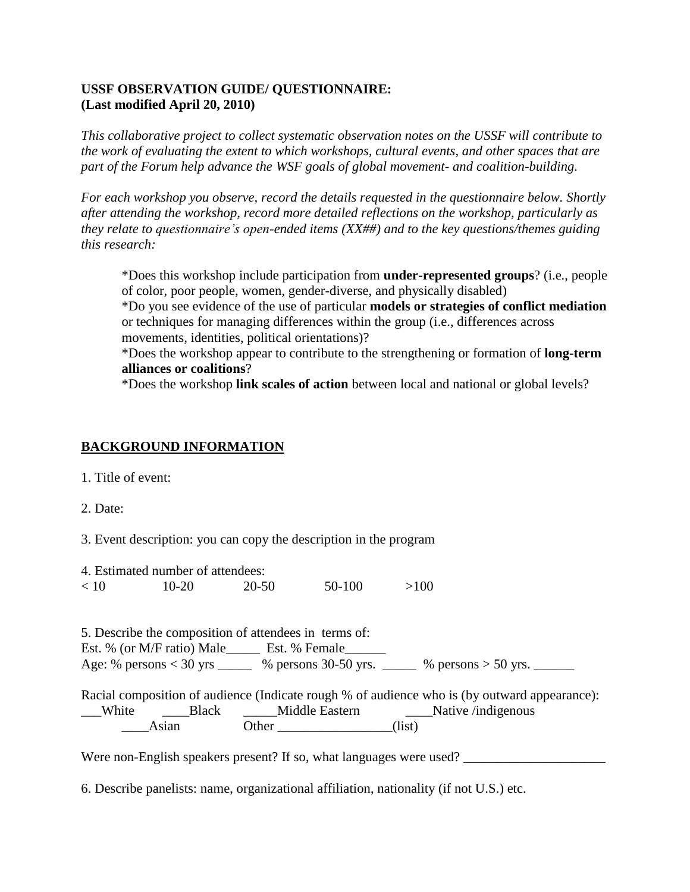### **USSF OBSERVATION GUIDE/ QUESTIONNAIRE: (Last modified April 20, 2010)**

*This collaborative project to collect systematic observation notes on the USSF will contribute to the work of evaluating the extent to which workshops, cultural events, and other spaces that are part of the Forum help advance the WSF goals of global movement- and coalition-building.* 

*For each workshop you observe, record the details requested in the questionnaire below. Shortly after attending the workshop, record more detailed reflections on the workshop, particularly as they relate to questionnaire's open-ended items (XX##) and to the key questions/themes guiding this research:*

\*Does this workshop include participation from **under-represented groups**? (i.e., people of color, poor people, women, gender-diverse, and physically disabled)

\*Do you see evidence of the use of particular **models or strategies of conflict mediation** or techniques for managing differences within the group (i.e., differences across movements, identities, political orientations)?

\*Does the workshop appear to contribute to the strengthening or formation of **long-term alliances or coalitions**?

\*Does the workshop **link scales of action** between local and national or global levels?

# **BACKGROUND INFORMATION**

1. Title of event:

2. Date:

3. Event description: you can copy the description in the program

|      | 4. Estimated number of attendees: |       |        |      |
|------|-----------------------------------|-------|--------|------|
| < 10 | $10 - 20$                         | 20-50 | 50-100 | >100 |

5. Describe the composition of attendees in terms of: Est. % (or M/F ratio) Male\_\_\_\_\_\_ Est. % Female\_\_\_\_\_\_ Age: % persons  $< 30$  yrs  $\%$  persons 30-50 yrs.  $\%$  persons  $> 50$  yrs.

Racial composition of audience (Indicate rough % of audience who is (by outward appearance): \_\_\_White \_\_\_\_Black \_\_\_\_\_Middle Eastern \_\_\_\_Native /indigenous Asian Other (list)

Were non-English speakers present? If so, what languages were used?

6. Describe panelists: name, organizational affiliation, nationality (if not U.S.) etc.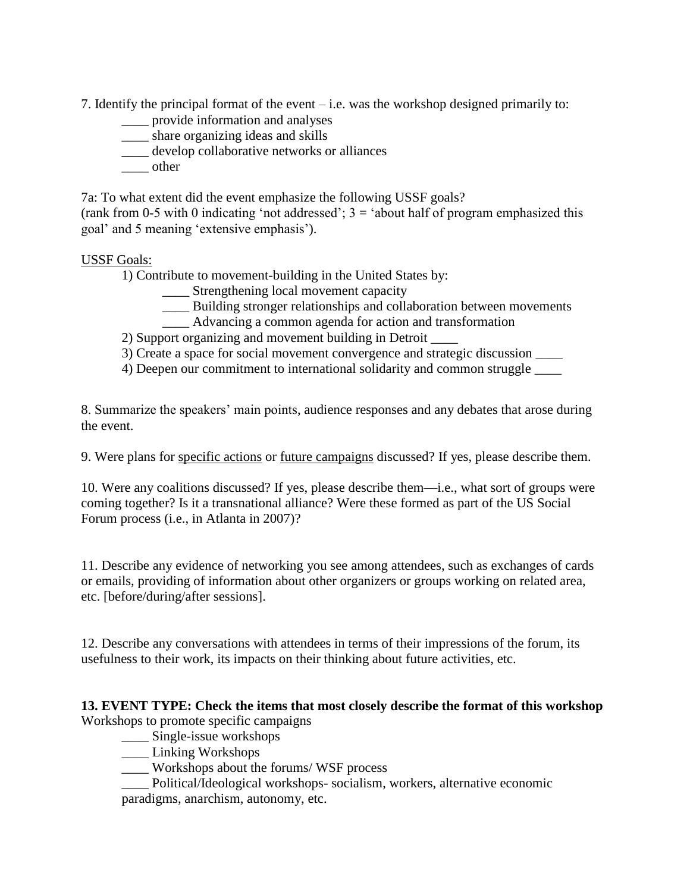7. Identify the principal format of the event – i.e. was the workshop designed primarily to:

- \_\_\_\_ provide information and analyses
- \_\_\_\_ share organizing ideas and skills
- \_\_\_\_ develop collaborative networks or alliances
- \_\_\_\_ other

7a: To what extent did the event emphasize the following USSF goals? (rank from 0-5 with 0 indicating 'not addressed';  $3 =$  'about half of program emphasized this goal' and 5 meaning 'extensive emphasis').

### USSF Goals:

1) Contribute to movement-building in the United States by:

- \_\_\_\_ Strengthening local movement capacity
- \_\_\_\_ Building stronger relationships and collaboration between movements
- \_\_\_\_ Advancing a common agenda for action and transformation

2) Support organizing and movement building in Detroit \_\_\_\_

3) Create a space for social movement convergence and strategic discussion \_\_\_\_

4) Deepen our commitment to international solidarity and common struggle

8. Summarize the speakers' main points, audience responses and any debates that arose during the event.

9. Were plans for specific actions or future campaigns discussed? If yes, please describe them.

10. Were any coalitions discussed? If yes, please describe them—i.e., what sort of groups were coming together? Is it a transnational alliance? Were these formed as part of the US Social Forum process (i.e., in Atlanta in 2007)?

11. Describe any evidence of networking you see among attendees, such as exchanges of cards or emails, providing of information about other organizers or groups working on related area, etc. [before/during/after sessions].

12. Describe any conversations with attendees in terms of their impressions of the forum, its usefulness to their work, its impacts on their thinking about future activities, etc.

#### **13. EVENT TYPE: Check the items that most closely describe the format of this workshop** Workshops to promote specific campaigns

\_\_\_\_ Single-issue workshops

- \_\_\_\_ Linking Workshops
- \_\_\_\_ Workshops about the forums/ WSF process

\_\_\_\_ Political/Ideological workshops- socialism, workers, alternative economic paradigms, anarchism, autonomy, etc.